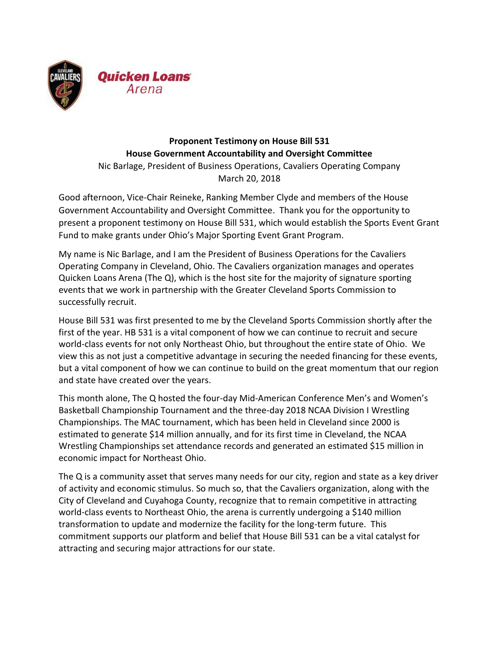

## **Proponent Testimony on House Bill 531 House Government Accountability and Oversight Committee** Nic Barlage, President of Business Operations, Cavaliers Operating Company

March 20, 2018

Good afternoon, Vice-Chair Reineke, Ranking Member Clyde and members of the House Government Accountability and Oversight Committee. Thank you for the opportunity to present a proponent testimony on House Bill 531, which would establish the Sports Event Grant Fund to make grants under Ohio's Major Sporting Event Grant Program.

My name is Nic Barlage, and I am the President of Business Operations for the Cavaliers Operating Company in Cleveland, Ohio. The Cavaliers organization manages and operates Quicken Loans Arena (The Q), which is the host site for the majority of signature sporting events that we work in partnership with the Greater Cleveland Sports Commission to successfully recruit.

House Bill 531 was first presented to me by the Cleveland Sports Commission shortly after the first of the year. HB 531 is a vital component of how we can continue to recruit and secure world-class events for not only Northeast Ohio, but throughout the entire state of Ohio. We view this as not just a competitive advantage in securing the needed financing for these events, but a vital component of how we can continue to build on the great momentum that our region and state have created over the years.

This month alone, The Q hosted the four-day Mid-American Conference Men's and Women's Basketball Championship Tournament and the three-day 2018 NCAA Division I Wrestling Championships. The MAC tournament, which has been held in Cleveland since 2000 is estimated to generate \$14 million annually, and for its first time in Cleveland, the NCAA Wrestling Championships set attendance records and generated an estimated \$15 million in economic impact for Northeast Ohio.

The Q is a community asset that serves many needs for our city, region and state as a key driver of activity and economic stimulus. So much so, that the Cavaliers organization, along with the City of Cleveland and Cuyahoga County, recognize that to remain competitive in attracting world-class events to Northeast Ohio, the arena is currently undergoing a \$140 million transformation to update and modernize the facility for the long-term future. This commitment supports our platform and belief that House Bill 531 can be a vital catalyst for attracting and securing major attractions for our state.